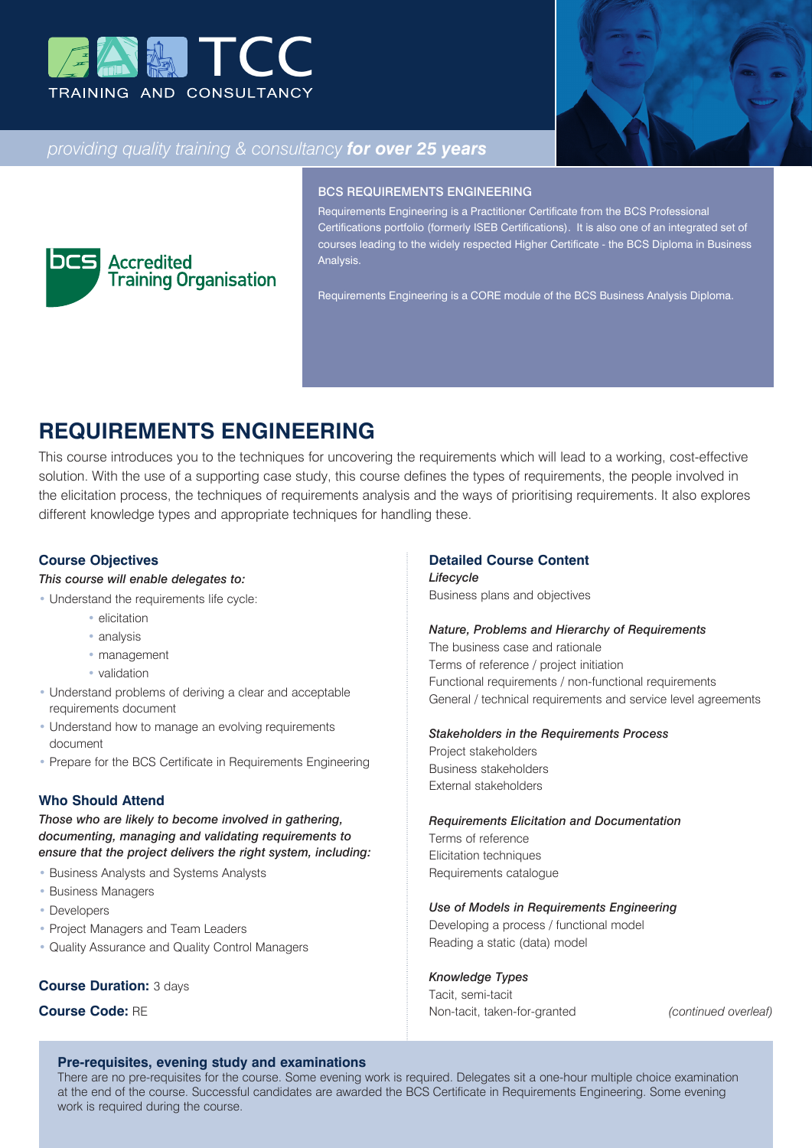



## *providing quality training & consultancy for over 25 years*



#### BCS REQUIREMENTS ENGINEERING

Requirements Engineering is a Practitioner Certificate from the BCS Professional Certifications portfolio (formerly ISEB Certifications). It is also one of an integrated set of courses leading to the widely respected Higher Certificate - the BCS Diploma in Business Analysis.

Requirements Engineering is a CORE module of the BCS Business Analysis Diploma.

# **REQUIREMENTS ENGINEERING**

This course introduces you to the techniques for uncovering the requirements which will lead to a working, cost-effective solution. With the use of a supporting case study, this course defines the types of requirements, the people involved in the elicitation process, the techniques of requirements analysis and the ways of prioritising requirements. It also explores different knowledge types and appropriate techniques for handling these.

### **Course Objectives**

### *This course will enable delegates to:*

- Understand the requirements life cycle:
	- elicitation
	- analysis
	- management
	- validation
- Understand problems of deriving a clear and acceptable requirements document
- Understand how to manage an evolving requirements document
- Prepare for the BCS Certificate in Requirements Engineering

### **Who Should Attend**

*Those who are likely to become involved in gathering, documenting, managing and validating requirements to ensure that the project delivers the right system, including:*

- Business Analysts and Systems Analysts
- Business Managers
- Developers
- Project Managers and Team Leaders
- Quality Assurance and Quality Control Managers

#### **Course Duration:** 3 days

## **Course Code:** RE

## **Detailed Course Content**

*Lifecycle* Business plans and objectives

#### *Nature, Problems and Hierarchy of Requirements*

The business case and rationale Terms of reference / project initiation Functional requirements / non-functional requirements General / technical requirements and service level agreements

#### *Stakeholders in the Requirements Process*

Project stakeholders Business stakeholders External stakeholders

*Requirements Elicitation and Documentation* Terms of reference Elicitation techniques Requirements catalogue

#### *Use of Models in Requirements Engineering*

Developing a process / functional model Reading a static (data) model

*Knowledge Types*

Tacit, semi-tacit Non-tacit, taken-for-granted *(continued overleaf)*

## **Pre-requisites, evening study and examinations**

There are no pre-requisites for the course. Some evening work is required. Delegates sit a one-hour multiple choice examination at the end of the course. Successful candidates are awarded the BCS Certificate in Requirements Engineering. Some evening work is required during the course.